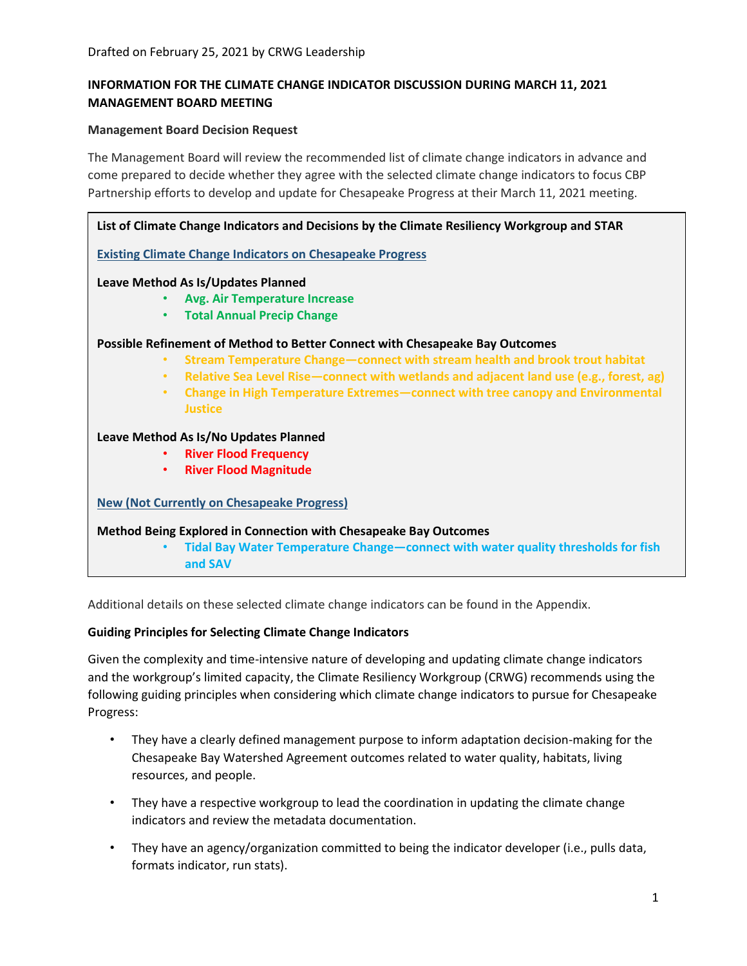# **INFORMATION FOR THE CLIMATE CHANGE INDICATOR DISCUSSION DURING MARCH 11, 2021 MANAGEMENT BOARD MEETING**

#### **Management Board Decision Request**

The Management Board will review the recommended list of climate change indicators in advance and come prepared to decide whether they agree with the selected climate change indicators to focus CBP Partnership efforts to develop and update for Chesapeake Progress at their March 11, 2021 meeting.

| List of Climate Change Indicators and Decisions by the Climate Resiliency Workgroup and STAR        |
|-----------------------------------------------------------------------------------------------------|
| <b>Existing Climate Change Indicators on Chesapeake Progress</b>                                    |
| Leave Method As Is/Updates Planned                                                                  |
| <b>Avg. Air Temperature Increase</b>                                                                |
| <b>Total Annual Precip Change</b><br>$\bullet$                                                      |
| Possible Refinement of Method to Better Connect with Chesapeake Bay Outcomes                        |
| Stream Temperature Change-connect with stream health and brook trout habitat<br>$\bullet$           |
| Relative Sea Level Rise-connect with wetlands and adjacent land use (e.g., forest, ag)<br>$\bullet$ |
| Change in High Temperature Extremes-connect with tree canopy and Environmental<br>$\bullet$         |
| <b>Justice</b>                                                                                      |
| Leave Method As Is/No Updates Planned                                                               |
| <b>River Flood Frequency</b><br>$\bullet$                                                           |
| <b>River Flood Magnitude</b><br>$\bullet$                                                           |
| <b>New (Not Currently on Chesapeake Progress)</b>                                                   |
| <b>Method Being Explored in Connection with Chesapeake Bay Outcomes</b>                             |
| Tidal Bay Water Temperature Change-connect with water quality thresholds for fish<br>$\bullet$      |
| and SAV                                                                                             |

Additional details on these selected climate change indicators can be found in the Appendix.

### **Guiding Principles for Selecting Climate Change Indicators**

Given the complexity and time-intensive nature of developing and updating climate change indicators and the workgroup's limited capacity, the Climate Resiliency Workgroup (CRWG) recommends using the following guiding principles when considering which climate change indicators to pursue for Chesapeake Progress:

- They have a clearly defined management purpose to inform adaptation decision-making for the Chesapeake Bay Watershed Agreement outcomes related to water quality, habitats, living resources, and people.
- They have a respective workgroup to lead the coordination in updating the climate change indicators and review the metadata documentation.
- They have an agency/organization committed to being the indicator developer (i.e., pulls data, formats indicator, run stats).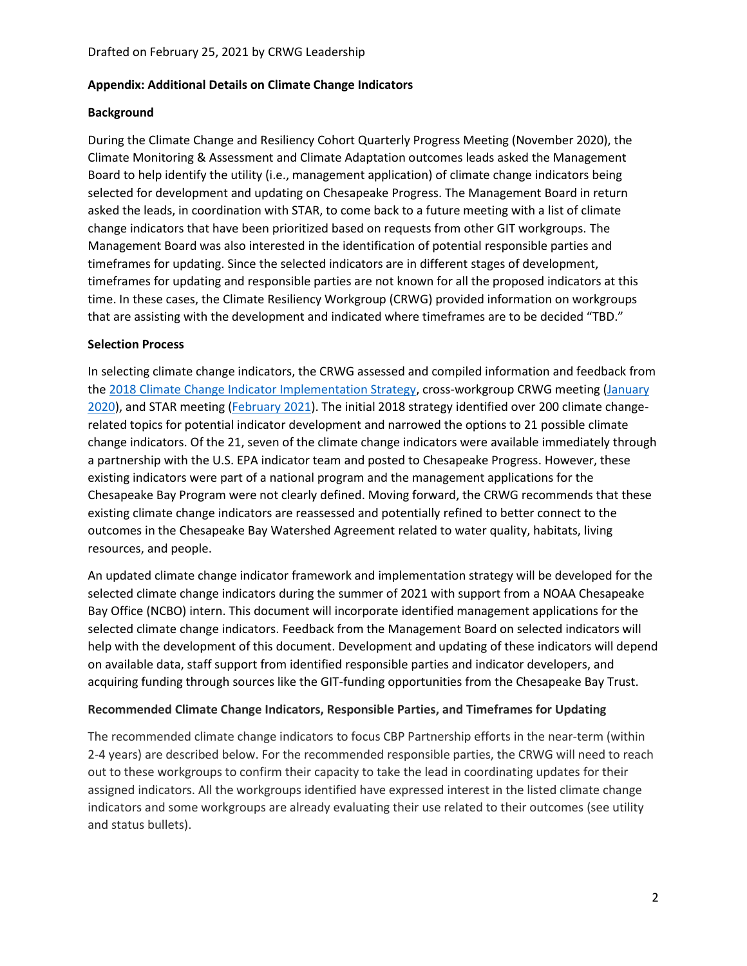### **Appendix: Additional Details on Climate Change Indicators**

## **Background**

During the Climate Change and Resiliency Cohort Quarterly Progress Meeting (November 2020), the Climate Monitoring & Assessment and Climate Adaptation outcomes leads asked the Management Board to help identify the utility (i.e., management application) of climate change indicators being selected for development and updating on Chesapeake Progress. The Management Board in return asked the leads, in coordination with STAR, to come back to a future meeting with a list of climate change indicators that have been prioritized based on requests from other GIT workgroups. The Management Board was also interested in the identification of potential responsible parties and timeframes for updating. Since the selected indicators are in different stages of development, timeframes for updating and responsible parties are not known for all the proposed indicators at this time. In these cases, the Climate Resiliency Workgroup (CRWG) provided information on workgroups that are assisting with the development and indicated where timeframes are to be decided "TBD."

## **Selection Process**

In selecting climate change indicators, the CRWG assessed and compiled information and feedback from th[e 2018 Climate Change Indicator Implementation Strategy,](https://www.chesapeakebay.net/channel_files/31218/indicator_implementation_plan_-_revised_-_07-13-18.pdf) cross-workgroup CRWG meeting [\(January](https://www.chesapeakebay.net/what/event/climate_resiliency_workgroup_january_2020_in_person_meeting)  [2020\)](https://www.chesapeakebay.net/what/event/climate_resiliency_workgroup_january_2020_in_person_meeting), and STAR meeting (*February 2021*). The initial 2018 strategy identified over 200 climate changerelated topics for potential indicator development and narrowed the options to 21 possible climate change indicators. Of the 21, seven of the climate change indicators were available immediately through a partnership with the U.S. EPA indicator team and posted to Chesapeake Progress. However, these existing indicators were part of a national program and the management applications for the Chesapeake Bay Program were not clearly defined. Moving forward, the CRWG recommends that these existing climate change indicators are reassessed and potentially refined to better connect to the outcomes in the Chesapeake Bay Watershed Agreement related to water quality, habitats, living resources, and people.

An updated climate change indicator framework and implementation strategy will be developed for the selected climate change indicators during the summer of 2021 with support from a NOAA Chesapeake Bay Office (NCBO) intern. This document will incorporate identified management applications for the selected climate change indicators. Feedback from the Management Board on selected indicators will help with the development of this document. Development and updating of these indicators will depend on available data, staff support from identified responsible parties and indicator developers, and acquiring funding through sources like the GIT-funding opportunities from the Chesapeake Bay Trust.

### **Recommended Climate Change Indicators, Responsible Parties, and Timeframes for Updating**

The recommended climate change indicators to focus CBP Partnership efforts in the near-term (within 2-4 years) are described below. For the recommended responsible parties, the CRWG will need to reach out to these workgroups to confirm their capacity to take the lead in coordinating updates for their assigned indicators. All the workgroups identified have expressed interest in the listed climate change indicators and some workgroups are already evaluating their use related to their outcomes (see utility and status bullets).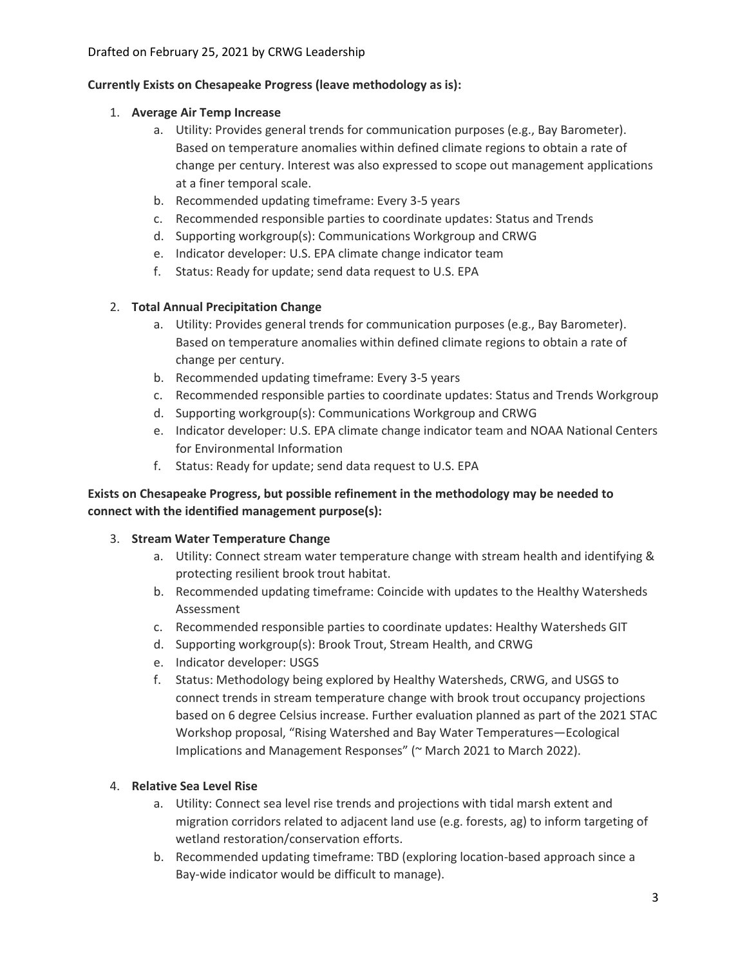# **Currently Exists on Chesapeake Progress (leave methodology as is):**

## 1. **Average Air Temp Increase**

- a. Utility: Provides general trends for communication purposes (e.g., Bay Barometer). Based on temperature anomalies within defined climate regions to obtain a rate of change per century. Interest was also expressed to scope out management applications at a finer temporal scale.
- b. Recommended updating timeframe: Every 3-5 years
- c. Recommended responsible parties to coordinate updates: Status and Trends
- d. Supporting workgroup(s): Communications Workgroup and CRWG
- e. Indicator developer: U.S. EPA climate change indicator team
- f. Status: Ready for update; send data request to U.S. EPA

# 2. **Total Annual Precipitation Change**

- a. Utility: Provides general trends for communication purposes (e.g., Bay Barometer). Based on temperature anomalies within defined climate regions to obtain a rate of change per century.
- b. Recommended updating timeframe: Every 3-5 years
- c. Recommended responsible parties to coordinate updates: Status and Trends Workgroup
- d. Supporting workgroup(s): Communications Workgroup and CRWG
- e. Indicator developer: U.S. EPA climate change indicator team and NOAA National Centers for Environmental Information
- f. Status: Ready for update; send data request to U.S. EPA

# **Exists on Chesapeake Progress, but possible refinement in the methodology may be needed to connect with the identified management purpose(s):**

# 3. **Stream Water Temperature Change**

- a. Utility: Connect stream water temperature change with stream health and identifying & protecting resilient brook trout habitat.
- b. Recommended updating timeframe: Coincide with updates to the Healthy Watersheds Assessment
- c. Recommended responsible parties to coordinate updates: Healthy Watersheds GIT
- d. Supporting workgroup(s): Brook Trout, Stream Health, and CRWG
- e. Indicator developer: USGS
- f. Status: Methodology being explored by Healthy Watersheds, CRWG, and USGS to connect trends in stream temperature change with brook trout occupancy projections based on 6 degree Celsius increase. Further evaluation planned as part of the 2021 STAC Workshop proposal, "Rising Watershed and Bay Water Temperatures—Ecological Implications and Management Responses" (~ March 2021 to March 2022).

# 4. **Relative Sea Level Rise**

- a. Utility: Connect sea level rise trends and projections with tidal marsh extent and migration corridors related to adjacent land use (e.g. forests, ag) to inform targeting of wetland restoration/conservation efforts.
- b. Recommended updating timeframe: TBD (exploring location-based approach since a Bay-wide indicator would be difficult to manage).